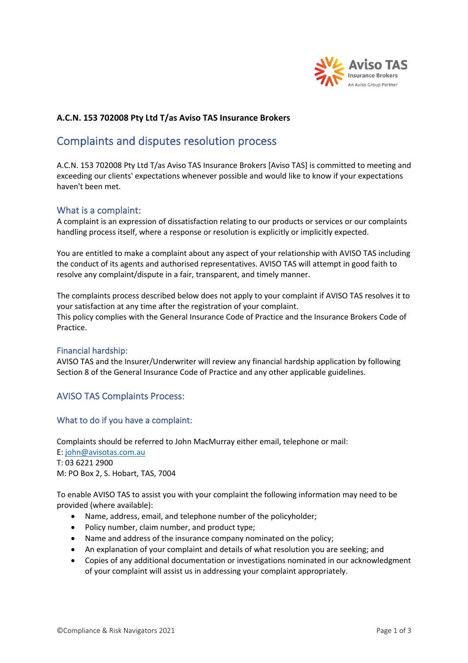

# **A.C.N. 153 702008 Pty Ltd T/as Aviso TAS Insurance Brokers**

# Complaints and disputes resolution process

A.C.N. 153 702008 Pty Ltd T/as Aviso TAS Insurance Brokers [Aviso TAS] is committed to meeting and exceeding our clients' expectations whenever possible and would like to know if your expectations haven't been met.

## What is a complaint:

A complaint is an expression of dissatisfaction relating to our products or services or our complaints handling process itself, where a response or resolution is explicitly or implicitly expected.

You are entitled to make a complaint about any aspect of your relationship with AVISO TAS including the conduct of its agents and authorised representatives. AVISO TAS will attempt in good faith to resolve any complaint/dispute in a fair, transparent, and timely manner.

The complaints process described below does not apply to your complaint if AVISO TAS resolves it to your satisfaction at any time after the registration of your complaint. This policy complies with the General Insurance Code of Practice and the Insurance Brokers Code of Practice.

#### Financial hardship:

AVISO TAS and the Insurer/Underwriter will review any financial hardship application by following Section 8 of the General Insurance Code of Practice and any other applicable guidelines.

## AVISO TAS Complaints Process:

#### What to do if you have a complaint:

Complaints should be referred to John MacMurray either email, telephone or mail:

E: john@avisotas.com.au T: 03 6221 2900 M: PO Box 2, S. Hobart, TAS, 7004

To enable AVISO TAS to assist you with your complaint the following information may need to be provided (where available):

- Name, address, email, and telephone number of the policyholder;
- Policy number, claim number, and product type;
- Name and address of the insurance company nominated on the policy;
- An explanation of your complaint and details of what resolution you are seeking; and
- Copies of any additional documentation or investigations nominated in our acknowledgment of your complaint will assist us in addressing your complaint appropriately.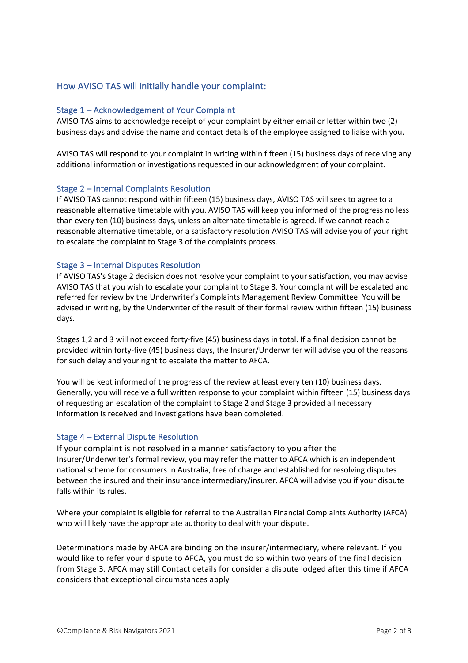# How AVISO TAS will initially handle your complaint:

## Stage 1 – Acknowledgement of Your Complaint

AVISO TAS aims to acknowledge receipt of your complaint by either email or letter within two (2) business days and advise the name and contact details of the employee assigned to liaise with you.

AVISO TAS will respond to your complaint in writing within fifteen (15) business days of receiving any additional information or investigations requested in our acknowledgment of your complaint.

### Stage 2 – Internal Complaints Resolution

If AVISO TAS cannot respond within fifteen (15) business days, AVISO TAS will seek to agree to a reasonable alternative timetable with you. AVISO TAS will keep you informed of the progress no less than every ten (10) business days, unless an alternate timetable is agreed. If we cannot reach a reasonable alternative timetable, or a satisfactory resolution AVISO TAS will advise you of your right to escalate the complaint to Stage 3 of the complaints process.

### Stage 3 – Internal Disputes Resolution

If AVISO TAS's Stage 2 decision does not resolve your complaint to your satisfaction, you may advise AVISO TAS that you wish to escalate your complaint to Stage 3. Your complaint will be escalated and referred for review by the Underwriter's Complaints Management Review Committee. You will be advised in writing, by the Underwriter of the result of their formal review within fifteen (15) business days.

Stages 1,2 and 3 will not exceed forty-five (45) business days in total. If a final decision cannot be provided within forty-five (45) business days, the Insurer/Underwriter will advise you of the reasons for such delay and your right to escalate the matter to AFCA.

You will be kept informed of the progress of the review at least every ten (10) business days. Generally, you will receive a full written response to your complaint within fifteen (15) business days of requesting an escalation of the complaint to Stage 2 and Stage 3 provided all necessary information is received and investigations have been completed.

## Stage 4 – External Dispute Resolution

If your complaint is not resolved in a manner satisfactory to you after the Insurer/Underwriter's formal review, you may refer the matter to AFCA which is an independent national scheme for consumers in Australia, free of charge and established for resolving disputes between the insured and their insurance intermediary/insurer. AFCA will advise you if your dispute falls within its rules.

Where your complaint is eligible for referral to the Australian Financial Complaints Authority (AFCA) who will likely have the appropriate authority to deal with your dispute.

Determinations made by AFCA are binding on the insurer/intermediary, where relevant. If you would like to refer your dispute to AFCA, you must do so within two years of the final decision from Stage 3. AFCA may still Contact details for consider a dispute lodged after this time if AFCA considers that exceptional circumstances apply